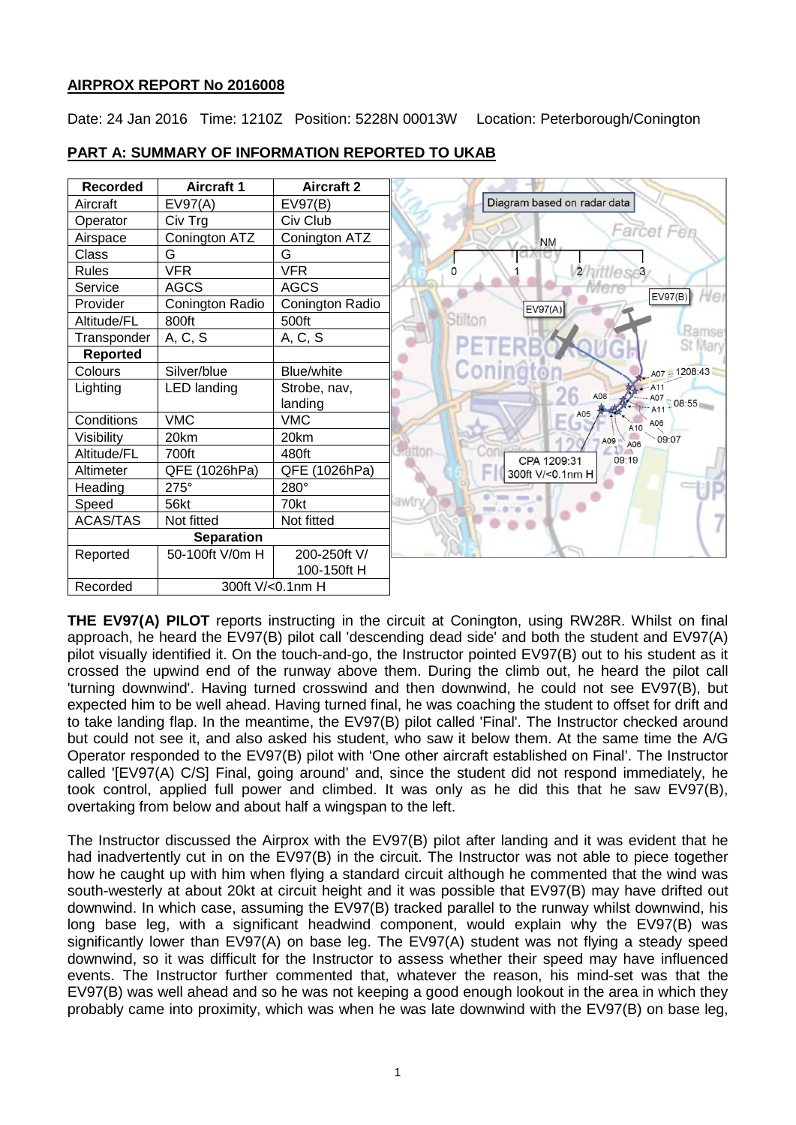# **AIRPROX REPORT No 2016008**

Date: 24 Jan 2016 Time: 1210Z Position: 5228N 00013W Location: Peterborough/Conington

| <b>Recorded</b>   | <b>Aircraft 1</b> | <b>Aircraft 2</b> |                                                     |
|-------------------|-------------------|-------------------|-----------------------------------------------------|
| Aircraft          | EV97(A)           | EV97(B)           | Diagram based on radar data                         |
| Operator          | Civ Trg           | Civ Club          |                                                     |
| Airspace          | Conington ATZ     | Conington ATZ     | Farcet F<br><b>NM</b>                               |
| Class             | G                 | G                 |                                                     |
| <b>Rules</b>      | <b>VFR</b>        | <b>VFR</b>        | 2/hittlese3<br>0                                    |
| Service           | <b>AGCS</b>       | <b>AGCS</b>       |                                                     |
| Provider          | Conington Radio   | Conington Radio   | EV97(B)<br>EV97(A)                                  |
| Altitude/FL       | 800ft             | 500ft             | Stilton                                             |
| Transponder       | A, C, S           | A, C, S           | <b>Ramse</b><br>PETERB<br>St Mary                   |
| <b>Reported</b>   |                   |                   |                                                     |
| Colours           | Silver/blue       | Blue/white        | Coningto<br>A07 - 1208:43                           |
| Lighting          | LED landing       | Strobe, nav,      | $-$ A <sub>11</sub><br>A08<br>A07                   |
|                   |                   | landing           | 08:55                                               |
| Conditions        | <b>VMC</b>        | <b>VMC</b>        | A05<br>A06<br>A10                                   |
| Visibility        | 20km              | 20km              | 09:07<br>A09<br>A06                                 |
| Altitude/FL       | 700ft             | 480ft             | <b><i><u>Hatton</u></i></b><br>CPA 1209:31<br>09:19 |
| Altimeter         | QFE (1026hPa)     | QFE (1026hPa)     | 300ft V/<0.1nm H                                    |
| Heading           | $275^\circ$       | 280°              |                                                     |
| Speed             | 56kt              | 70kt              | iawtry                                              |
| <b>ACAS/TAS</b>   | Not fitted        | Not fitted        |                                                     |
| <b>Separation</b> |                   |                   |                                                     |
| Reported          | 50-100ft V/0m H   | 200-250ft V/      |                                                     |
|                   |                   | 100-150ft H       |                                                     |
| Recorded          | 300ft V/<0.1nm H  |                   |                                                     |

# **PART A: SUMMARY OF INFORMATION REPORTED TO UKAB**

**THE EV97(A) PILOT** reports instructing in the circuit at Conington, using RW28R. Whilst on final approach, he heard the EV97(B) pilot call 'descending dead side' and both the student and EV97(A) pilot visually identified it. On the touch-and-go, the Instructor pointed EV97(B) out to his student as it crossed the upwind end of the runway above them. During the climb out, he heard the pilot call 'turning downwind'. Having turned crosswind and then downwind, he could not see EV97(B), but expected him to be well ahead. Having turned final, he was coaching the student to offset for drift and to take landing flap. In the meantime, the EV97(B) pilot called 'Final'. The Instructor checked around but could not see it, and also asked his student, who saw it below them. At the same time the A/G Operator responded to the EV97(B) pilot with 'One other aircraft established on Final'. The Instructor called '[EV97(A) C/S] Final, going around' and, since the student did not respond immediately, he took control, applied full power and climbed. It was only as he did this that he saw EV97(B), overtaking from below and about half a wingspan to the left.

The Instructor discussed the Airprox with the EV97(B) pilot after landing and it was evident that he had inadvertently cut in on the EV97(B) in the circuit. The Instructor was not able to piece together how he caught up with him when flying a standard circuit although he commented that the wind was south-westerly at about 20kt at circuit height and it was possible that EV97(B) may have drifted out downwind. In which case, assuming the EV97(B) tracked parallel to the runway whilst downwind, his long base leg, with a significant headwind component, would explain why the EV97(B) was significantly lower than EV97(A) on base leg. The EV97(A) student was not flying a steady speed downwind, so it was difficult for the Instructor to assess whether their speed may have influenced events. The Instructor further commented that, whatever the reason, his mind-set was that the EV97(B) was well ahead and so he was not keeping a good enough lookout in the area in which they probably came into proximity, which was when he was late downwind with the EV97(B) on base leg,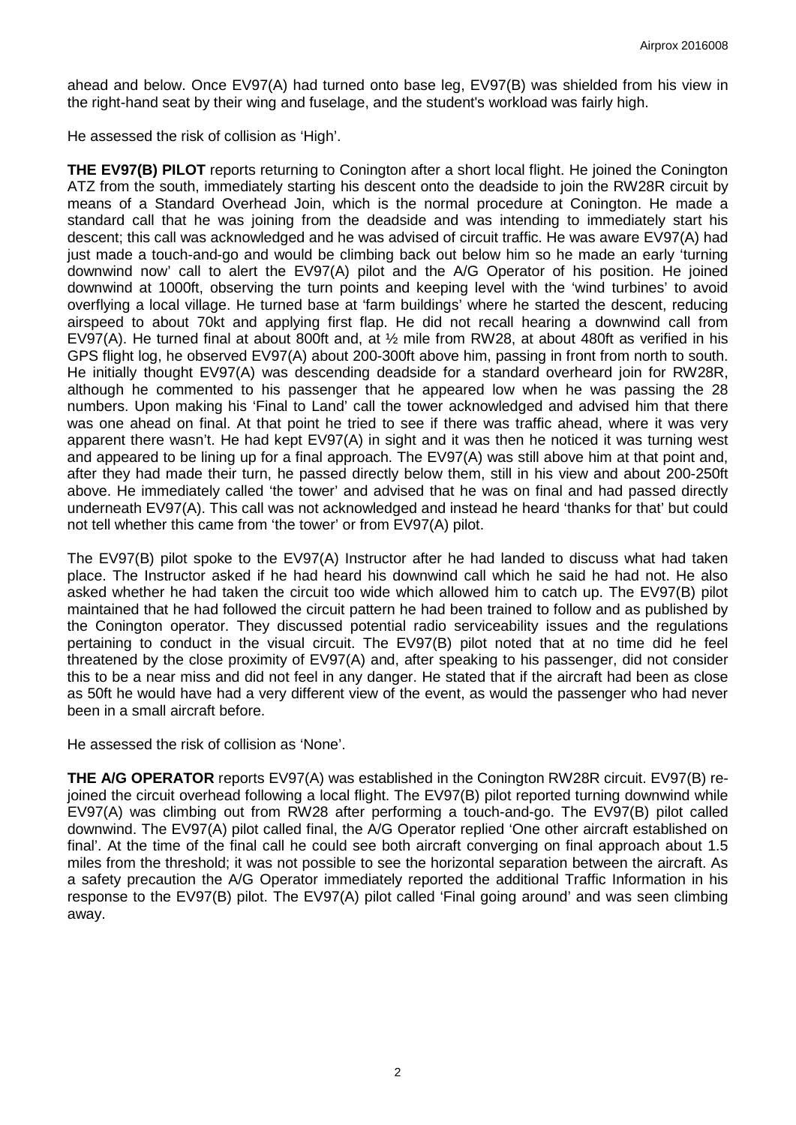ahead and below. Once EV97(A) had turned onto base leg, EV97(B) was shielded from his view in the right-hand seat by their wing and fuselage, and the student's workload was fairly high.

He assessed the risk of collision as 'High'.

**THE EV97(B) PILOT** reports returning to Conington after a short local flight. He joined the Conington ATZ from the south, immediately starting his descent onto the deadside to join the RW28R circuit by means of a Standard Overhead Join, which is the normal procedure at Conington. He made a standard call that he was joining from the deadside and was intending to immediately start his descent; this call was acknowledged and he was advised of circuit traffic. He was aware EV97(A) had just made a touch-and-go and would be climbing back out below him so he made an early 'turning downwind now' call to alert the EV97(A) pilot and the A/G Operator of his position. He joined downwind at 1000ft, observing the turn points and keeping level with the 'wind turbines' to avoid overflying a local village. He turned base at 'farm buildings' where he started the descent, reducing airspeed to about 70kt and applying first flap. He did not recall hearing a downwind call from EV97(A). He turned final at about 800ft and, at ½ mile from RW28, at about 480ft as verified in his GPS flight log, he observed EV97(A) about 200-300ft above him, passing in front from north to south. He initially thought EV97(A) was descending deadside for a standard overheard join for RW28R, although he commented to his passenger that he appeared low when he was passing the 28 numbers. Upon making his 'Final to Land' call the tower acknowledged and advised him that there was one ahead on final. At that point he tried to see if there was traffic ahead, where it was very apparent there wasn't. He had kept EV97(A) in sight and it was then he noticed it was turning west and appeared to be lining up for a final approach. The EV97(A) was still above him at that point and, after they had made their turn, he passed directly below them, still in his view and about 200-250ft above. He immediately called 'the tower' and advised that he was on final and had passed directly underneath EV97(A). This call was not acknowledged and instead he heard 'thanks for that' but could not tell whether this came from 'the tower' or from EV97(A) pilot.

The EV97(B) pilot spoke to the EV97(A) Instructor after he had landed to discuss what had taken place. The Instructor asked if he had heard his downwind call which he said he had not. He also asked whether he had taken the circuit too wide which allowed him to catch up. The EV97(B) pilot maintained that he had followed the circuit pattern he had been trained to follow and as published by the Conington operator. They discussed potential radio serviceability issues and the regulations pertaining to conduct in the visual circuit. The EV97(B) pilot noted that at no time did he feel threatened by the close proximity of EV97(A) and, after speaking to his passenger, did not consider this to be a near miss and did not feel in any danger. He stated that if the aircraft had been as close as 50ft he would have had a very different view of the event, as would the passenger who had never been in a small aircraft before.

He assessed the risk of collision as 'None'.

**THE A/G OPERATOR** reports EV97(A) was established in the Conington RW28R circuit. EV97(B) rejoined the circuit overhead following a local flight. The EV97(B) pilot reported turning downwind while EV97(A) was climbing out from RW28 after performing a touch-and-go. The EV97(B) pilot called downwind. The EV97(A) pilot called final, the A/G Operator replied 'One other aircraft established on final'. At the time of the final call he could see both aircraft converging on final approach about 1.5 miles from the threshold; it was not possible to see the horizontal separation between the aircraft. As a safety precaution the A/G Operator immediately reported the additional Traffic Information in his response to the EV97(B) pilot. The EV97(A) pilot called 'Final going around' and was seen climbing away.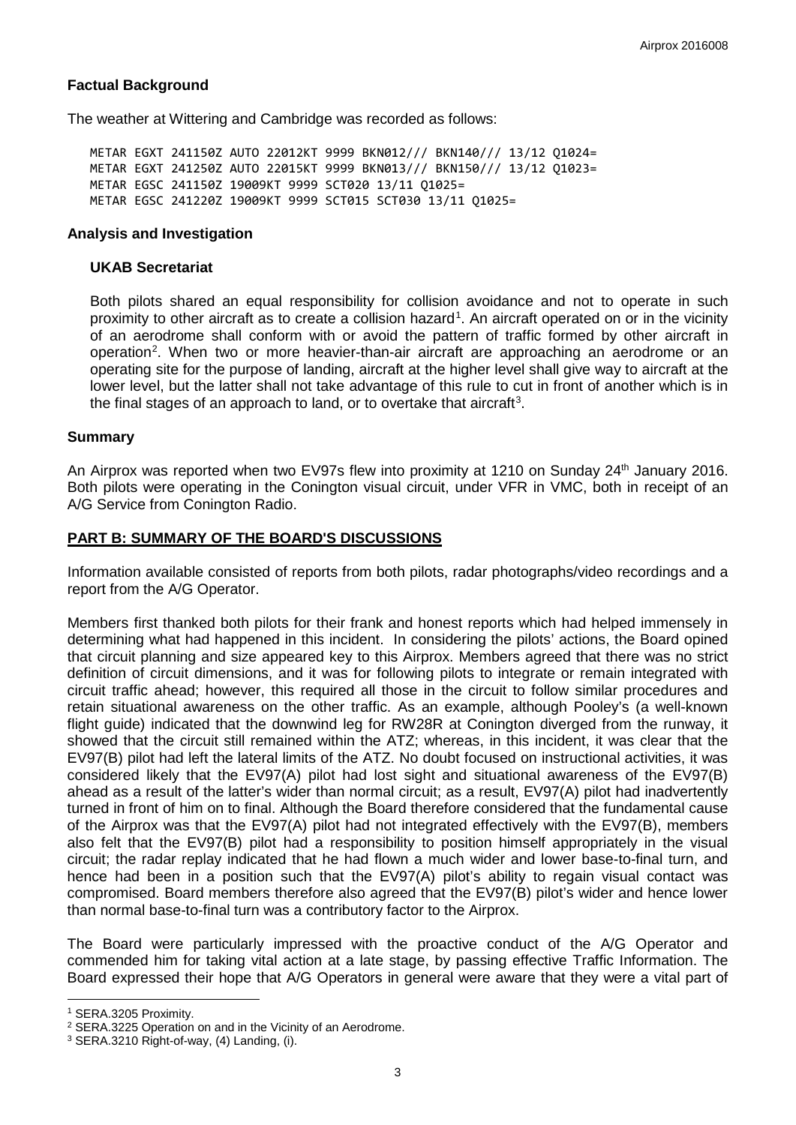# **Factual Background**

The weather at Wittering and Cambridge was recorded as follows:

METAR EGXT 241150Z AUTO 22012KT 9999 BKN012/// BKN140/// 13/12 Q1024= METAR EGXT 241250Z AUTO 22015KT 9999 BKN013/// BKN150/// 13/12 Q1023= METAR EGSC 241150Z 19009KT 9999 SCT020 13/11 Q1025= METAR EGSC 241220Z 19009KT 9999 SCT015 SCT030 13/11 Q1025=

### **Analysis and Investigation**

#### **UKAB Secretariat**

Both pilots shared an equal responsibility for collision avoidance and not to operate in such proximity to other aircraft as to create a collision hazard<sup>[1](#page-2-0)</sup>. An aircraft operated on or in the vicinity of an aerodrome shall conform with or avoid the pattern of traffic formed by other aircraft in operation<sup>[2](#page-2-1)</sup>. When two or more heavier-than-air aircraft are approaching an aerodrome or an operating site for the purpose of landing, aircraft at the higher level shall give way to aircraft at the lower level, but the latter shall not take advantage of this rule to cut in front of another which is in the final stages of an approach to land, or to overtake that aircraft<sup>[3](#page-2-2)</sup>.

### **Summary**

An Airprox was reported when two EV97s flew into proximity at 1210 on Sunday 24<sup>th</sup> January 2016. Both pilots were operating in the Conington visual circuit, under VFR in VMC, both in receipt of an A/G Service from Conington Radio.

## **PART B: SUMMARY OF THE BOARD'S DISCUSSIONS**

Information available consisted of reports from both pilots, radar photographs/video recordings and a report from the A/G Operator.

Members first thanked both pilots for their frank and honest reports which had helped immensely in determining what had happened in this incident. In considering the pilots' actions, the Board opined that circuit planning and size appeared key to this Airprox. Members agreed that there was no strict definition of circuit dimensions, and it was for following pilots to integrate or remain integrated with circuit traffic ahead; however, this required all those in the circuit to follow similar procedures and retain situational awareness on the other traffic. As an example, although Pooley's (a well-known flight guide) indicated that the downwind leg for RW28R at Conington diverged from the runway, it showed that the circuit still remained within the ATZ; whereas, in this incident, it was clear that the EV97(B) pilot had left the lateral limits of the ATZ. No doubt focused on instructional activities, it was considered likely that the EV97(A) pilot had lost sight and situational awareness of the EV97(B) ahead as a result of the latter's wider than normal circuit; as a result, EV97(A) pilot had inadvertently turned in front of him on to final. Although the Board therefore considered that the fundamental cause of the Airprox was that the EV97(A) pilot had not integrated effectively with the EV97(B), members also felt that the EV97(B) pilot had a responsibility to position himself appropriately in the visual circuit; the radar replay indicated that he had flown a much wider and lower base-to-final turn, and hence had been in a position such that the EV97(A) pilot's ability to regain visual contact was compromised. Board members therefore also agreed that the EV97(B) pilot's wider and hence lower than normal base-to-final turn was a contributory factor to the Airprox.

The Board were particularly impressed with the proactive conduct of the A/G Operator and commended him for taking vital action at a late stage, by passing effective Traffic Information. The Board expressed their hope that A/G Operators in general were aware that they were a vital part of

 $\overline{\phantom{a}}$ 

<span id="page-2-0"></span><sup>1</sup> SERA.3205 Proximity.

<span id="page-2-1"></span><sup>2</sup> SERA.3225 Operation on and in the Vicinity of an Aerodrome.

<span id="page-2-2"></span> $3$  SERA.3210 Right-of-way, (4) Landing, (i).